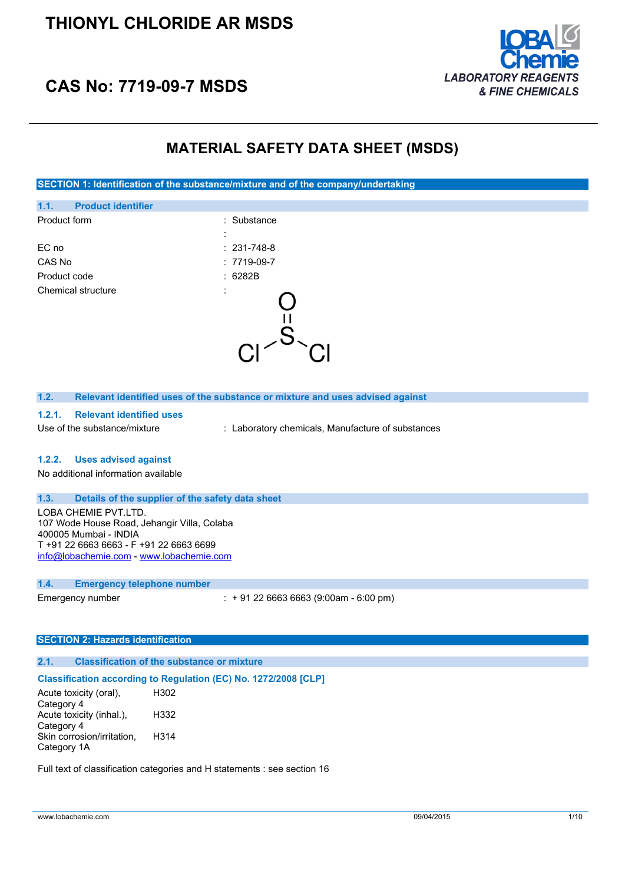

# **CAS No: 7719-09-7 MSDS**

## **MATERIAL SAFETY DATA SHEET (MSDS)**

**SECTION 1: Identification of the substance/mixture and of the company/undertaking**



| 1.2. | Relevant identified uses of the substance or mixture and uses advised against |
|------|-------------------------------------------------------------------------------|
|      |                                                                               |

- **1.2.1. Relevant identified uses**
- Use of the substance/mixture : Laboratory chemicals, Manufacture of substances

#### **1.2.2. Uses advised against**

No additional information available

### **1.3. Details of the supplier of the safety data sheet**

LOBA CHEMIE PVT.LTD. 107 Wode House Road, Jehangir Villa, Colaba 400005 Mumbai - INDIA T +91 22 6663 6663 - F +91 22 6663 6699 [info@lobachemie.com](mailto:info@lobachemie.com) - <www.lobachemie.com>

#### **1.4. Emergency telephone number**

Emergency number : + 91 22 6663 6663 (9:00am - 6:00 pm)

#### **SECTION 2: Hazards identification**

#### **2.1. Classification of the substance or mixture**

#### **Classification according to Regulation (EC) No. 1272/2008 [CLP]**

Acute toxicity (oral), Category 4 H302 Acute toxicity (inhal.), Category 4 H332 Skin corrosion/irritation, Category 1A H314

Full text of classification categories and H statements : see section 16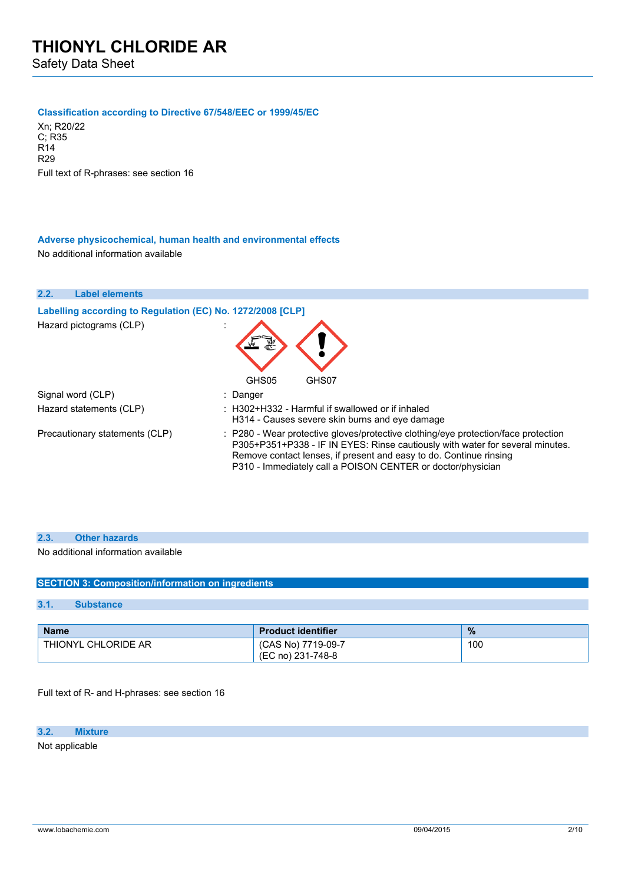#### **Classification according to Directive 67/548/EEC or 1999/45/EC**

Xn; R20/22 C; R35 R14 R29 Full text of R-phrases: see section 16

#### **Adverse physicochemical, human health and environmental effects** No additional information available

| 2.2.<br><b>Label elements</b>                              |                                                                                                                                                                                                                                                                                                          |
|------------------------------------------------------------|----------------------------------------------------------------------------------------------------------------------------------------------------------------------------------------------------------------------------------------------------------------------------------------------------------|
| Labelling according to Regulation (EC) No. 1272/2008 [CLP] |                                                                                                                                                                                                                                                                                                          |
| Hazard pictograms (CLP)                                    |                                                                                                                                                                                                                                                                                                          |
|                                                            | GHS05<br>GHS07                                                                                                                                                                                                                                                                                           |
| Signal word (CLP)                                          | : Danger                                                                                                                                                                                                                                                                                                 |
| Hazard statements (CLP)                                    | $\pm$ H302+H332 - Harmful if swallowed or if inhaled<br>H314 - Causes severe skin burns and eye damage                                                                                                                                                                                                   |
| Precautionary statements (CLP)                             | : P280 - Wear protective gloves/protective clothing/eye protection/face protection<br>P305+P351+P338 - IF IN EYES: Rinse cautiously with water for several minutes.<br>Remove contact lenses, if present and easy to do. Continue rinsing<br>P310 - Immediately call a POISON CENTER or doctor/physician |

#### **2.3. Other hazards**

No additional information available

#### **SECTION 3: Composition/information on ingredients**

#### **3.1. Substance**

| <b>Name</b>         | <b>Product identifier</b>               | $\frac{9}{6}$ |
|---------------------|-----------------------------------------|---------------|
| THIONYL CHLORIDE AR | (CAS No) 7719-09-7<br>(EC no) 231-748-8 | 100           |

Full text of R- and H-phrases: see section 16

### **3.2. Mixture**

Not applicable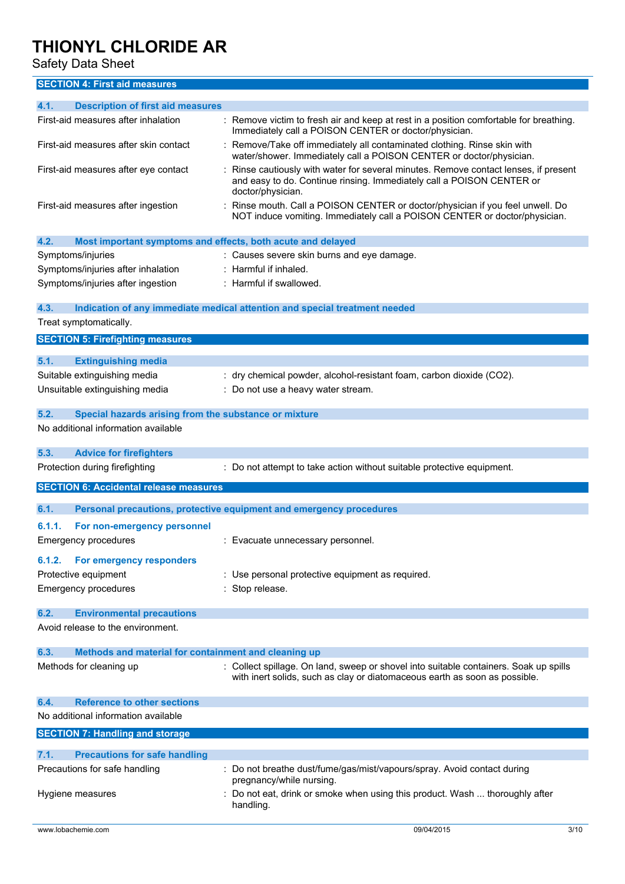Safety Data Sheet

## **SECTION 4: First aid measures**

| 4.1.<br><b>Description of first aid measures</b>                    |                                                                                                                                                                                  |
|---------------------------------------------------------------------|----------------------------------------------------------------------------------------------------------------------------------------------------------------------------------|
| First-aid measures after inhalation                                 | : Remove victim to fresh air and keep at rest in a position comfortable for breathing.<br>Immediately call a POISON CENTER or doctor/physician.                                  |
| First-aid measures after skin contact                               | : Remove/Take off immediately all contaminated clothing. Rinse skin with<br>water/shower. Immediately call a POISON CENTER or doctor/physician.                                  |
| First-aid measures after eye contact                                | Rinse cautiously with water for several minutes. Remove contact lenses, if present<br>and easy to do. Continue rinsing. Immediately call a POISON CENTER or<br>doctor/physician. |
| First-aid measures after ingestion                                  | Rinse mouth. Call a POISON CENTER or doctor/physician if you feel unwell. Do<br>NOT induce vomiting. Immediately call a POISON CENTER or doctor/physician.                       |
| 4.2.<br>Most important symptoms and effects, both acute and delayed |                                                                                                                                                                                  |
| Symptoms/injuries                                                   | : Causes severe skin burns and eye damage.                                                                                                                                       |
| Symptoms/injuries after inhalation                                  | $:$ Harmful if inhaled.                                                                                                                                                          |
| Symptoms/injuries after ingestion                                   | : Harmful if swallowed.                                                                                                                                                          |
|                                                                     |                                                                                                                                                                                  |
| 4.3.                                                                | Indication of any immediate medical attention and special treatment needed                                                                                                       |
| Treat symptomatically.                                              |                                                                                                                                                                                  |
| <b>SECTION 5: Firefighting measures</b>                             |                                                                                                                                                                                  |
|                                                                     |                                                                                                                                                                                  |
| 5.1.<br><b>Extinguishing media</b>                                  |                                                                                                                                                                                  |
| Suitable extinguishing media                                        | : dry chemical powder, alcohol-resistant foam, carbon dioxide (CO2).                                                                                                             |
| Unsuitable extinguishing media                                      | : Do not use a heavy water stream.                                                                                                                                               |
|                                                                     |                                                                                                                                                                                  |
| 5.2.<br>Special hazards arising from the substance or mixture       |                                                                                                                                                                                  |
| No additional information available                                 |                                                                                                                                                                                  |
| 5.3.<br><b>Advice for firefighters</b>                              |                                                                                                                                                                                  |
| Protection during firefighting                                      | : Do not attempt to take action without suitable protective equipment.                                                                                                           |
| <b>SECTION 6: Accidental release measures</b>                       |                                                                                                                                                                                  |
| 6.1.                                                                | Personal precautions, protective equipment and emergency procedures                                                                                                              |
|                                                                     |                                                                                                                                                                                  |
| 6.1.1.<br>For non-emergency personnel                               |                                                                                                                                                                                  |
| <b>Emergency procedures</b>                                         | : Evacuate unnecessary personnel.                                                                                                                                                |
| 6.1.2.<br><b>For emergency responders</b>                           |                                                                                                                                                                                  |
| Protective equipment                                                | : Use personal protective equipment as required.                                                                                                                                 |
| <b>Emergency procedures</b>                                         | : Stop release.                                                                                                                                                                  |
|                                                                     |                                                                                                                                                                                  |
| 6.2.<br><b>Environmental precautions</b>                            |                                                                                                                                                                                  |
| Avoid release to the environment.                                   |                                                                                                                                                                                  |
| 6.3.<br>Methods and material for containment and cleaning up        |                                                                                                                                                                                  |
| Methods for cleaning up                                             | : Collect spillage. On land, sweep or shovel into suitable containers. Soak up spills<br>with inert solids, such as clay or diatomaceous earth as soon as possible.              |
| <b>Reference to other sections</b><br>6.4.                          |                                                                                                                                                                                  |
| No additional information available                                 |                                                                                                                                                                                  |
| <b>SECTION 7: Handling and storage</b>                              |                                                                                                                                                                                  |
|                                                                     |                                                                                                                                                                                  |
| 7.1.<br><b>Precautions for safe handling</b>                        |                                                                                                                                                                                  |
| Precautions for safe handling                                       | : Do not breathe dust/fume/gas/mist/vapours/spray. Avoid contact during<br>pregnancy/while nursing.                                                                              |
| Hygiene measures                                                    | Do not eat, drink or smoke when using this product. Wash  thoroughly after                                                                                                       |
|                                                                     | handling.                                                                                                                                                                        |
| www.lobachemie.com                                                  | 09/04/2015<br>3/10                                                                                                                                                               |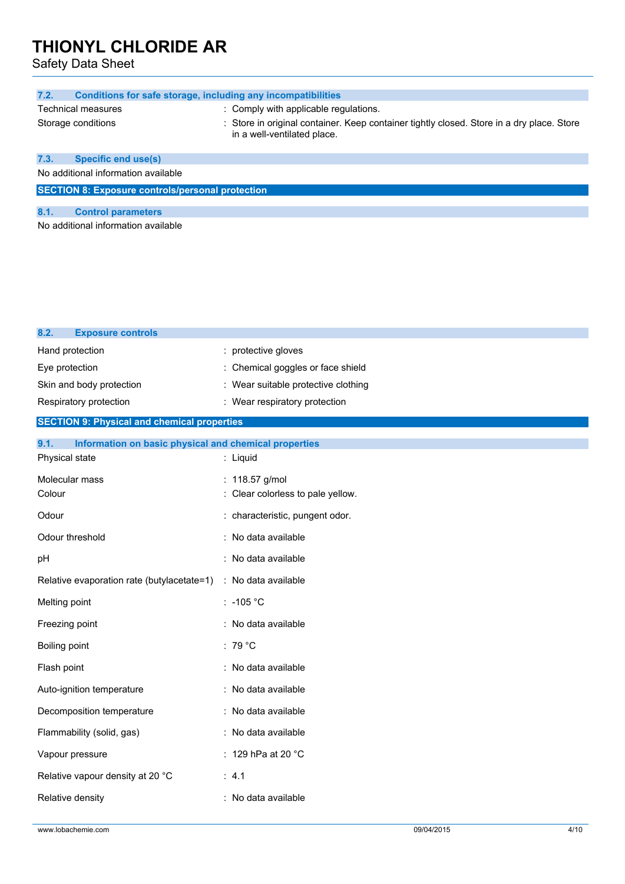Safety Data Sheet

| 7.2.                                                    | Conditions for safe storage, including any incompatibilities                                                             |  |
|---------------------------------------------------------|--------------------------------------------------------------------------------------------------------------------------|--|
|                                                         |                                                                                                                          |  |
| <b>Technical measures</b>                               | : Comply with applicable regulations.                                                                                    |  |
| Storage conditions                                      | : Store in original container. Keep container tightly closed. Store in a dry place. Store<br>in a well-ventilated place. |  |
| 7.3.<br><b>Specific end use(s)</b>                      |                                                                                                                          |  |
| No additional information available                     |                                                                                                                          |  |
| <b>SECTION 8: Exposure controls/personal protection</b> |                                                                                                                          |  |
| 8.1.<br><b>Control parameters</b>                       |                                                                                                                          |  |
| No additional information available                     |                                                                                                                          |  |
|                                                         |                                                                                                                          |  |
|                                                         |                                                                                                                          |  |

| 8.2.<br><b>Exposure controls</b>                              |                                     |
|---------------------------------------------------------------|-------------------------------------|
| Hand protection                                               | : protective gloves                 |
| Eye protection                                                | : Chemical goggles or face shield   |
| Skin and body protection                                      | : Wear suitable protective clothing |
| Respiratory protection                                        | : Wear respiratory protection       |
| <b>SECTION 9: Physical and chemical properties</b>            |                                     |
| Information on basic physical and chemical properties<br>9.1. |                                     |
| Physical state                                                | : Liquid                            |
| Molecular mass                                                | : 118.57 g/mol                      |
| Colour                                                        | : Clear colorless to pale yellow.   |
| Odour                                                         | : characteristic, pungent odor.     |
| Odour threshold                                               | : No data available                 |
| pH                                                            | : No data available                 |
| Relative evaporation rate (butylacetate=1)                    | : No data available                 |
| Melting point                                                 | $: -105 °C$                         |
| Freezing point                                                | : No data available                 |
| Boiling point                                                 | $:79^{\circ}$ C                     |
| Flash point                                                   | : No data available                 |
| Auto-ignition temperature                                     | : No data available                 |
| Decomposition temperature                                     | : No data available                 |
| Flammability (solid, gas)                                     | : No data available                 |
| Vapour pressure                                               | : 129 hPa at 20 °C                  |
| Relative vapour density at 20 °C                              | : 4.1                               |
| Relative density                                              | : No data available                 |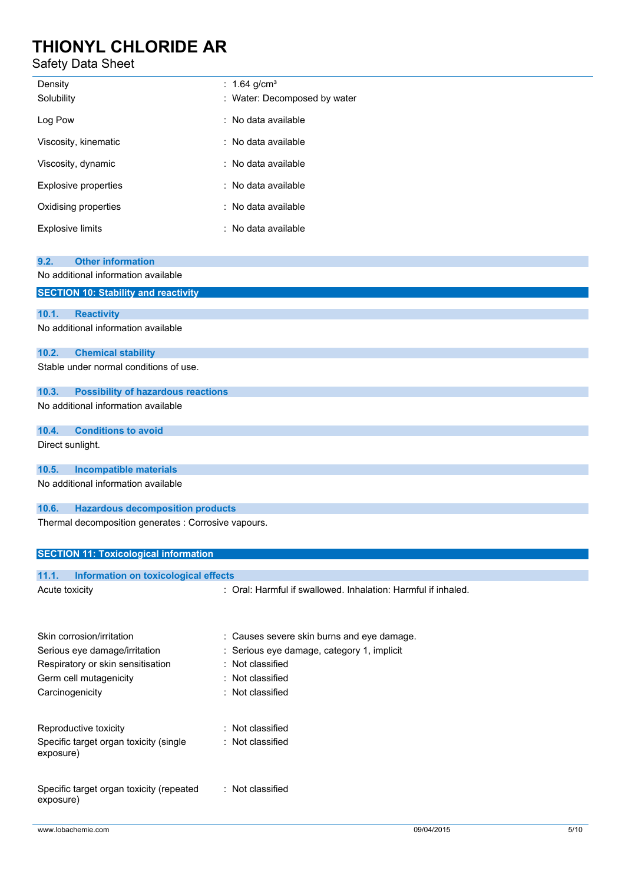## Safety Data Sheet

| Density<br>Solubility       | : 1.64 g/cm <sup>3</sup><br>: Water: Decomposed by water |
|-----------------------------|----------------------------------------------------------|
| Log Pow                     | : No data available                                      |
| Viscosity, kinematic        | : No data available                                      |
| Viscosity, dynamic          | : No data available                                      |
| <b>Explosive properties</b> | : No data available                                      |
| Oxidising properties        | : No data available                                      |
| <b>Explosive limits</b>     | : No data available                                      |

| <b>Other information</b><br>9.2.                     |  |  |
|------------------------------------------------------|--|--|
| No additional information available                  |  |  |
| <b>SECTION 10: Stability and reactivity</b>          |  |  |
| 10.1.<br><b>Reactivity</b>                           |  |  |
| No additional information available                  |  |  |
| 10.2.<br><b>Chemical stability</b>                   |  |  |
| Stable under normal conditions of use.               |  |  |
| <b>Possibility of hazardous reactions</b><br>10.3.   |  |  |
| No additional information available                  |  |  |
| <b>Conditions to avoid</b><br>10.4.                  |  |  |
| Direct sunlight.                                     |  |  |
| <b>Incompatible materials</b><br>10.5.               |  |  |
| No additional information available                  |  |  |
| 10.6.<br><b>Hazardous decomposition products</b>     |  |  |
| Thermal decomposition generates : Corrosive vapours. |  |  |
| <b>SECTION 11: Toxicological information</b>         |  |  |

| Information on toxicological effects<br>11.1.         |                                                               |
|-------------------------------------------------------|---------------------------------------------------------------|
| Acute toxicity                                        | : Oral: Harmful if swallowed, Inhalation: Harmful if inhaled. |
| Skin corrosion/irritation                             | : Causes severe skin burns and eye damage.                    |
| Serious eye damage/irritation                         | : Serious eye damage, category 1, implicit                    |
| Respiratory or skin sensitisation                     | : Not classified                                              |
| Germ cell mutagenicity                                | : Not classified                                              |
| Carcinogenicity                                       | : Not classified                                              |
| Reproductive toxicity                                 | : Not classified                                              |
| Specific target organ toxicity (single<br>exposure)   | : Not classified                                              |
| Specific target organ toxicity (repeated<br>exposure) | : Not classified                                              |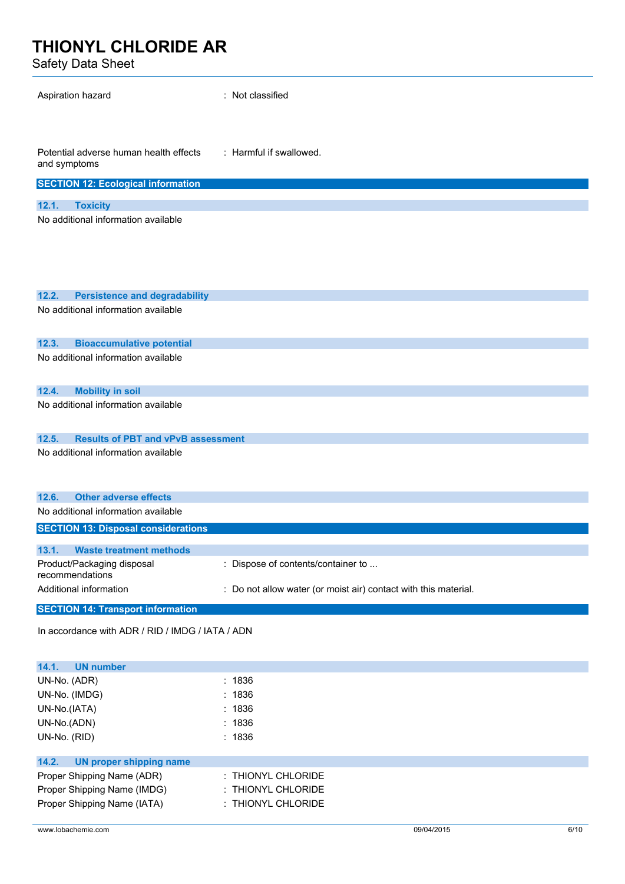Safety Data Sheet

| Aspiration hazard                                                                 | : Not classified                                                |  |
|-----------------------------------------------------------------------------------|-----------------------------------------------------------------|--|
| : Harmful if swallowed.<br>Potential adverse human health effects<br>and symptoms |                                                                 |  |
| <b>SECTION 12: Ecological information</b>                                         |                                                                 |  |
|                                                                                   |                                                                 |  |
| <b>Toxicity</b><br>12.1.                                                          |                                                                 |  |
| No additional information available                                               |                                                                 |  |
|                                                                                   |                                                                 |  |
|                                                                                   |                                                                 |  |
|                                                                                   |                                                                 |  |
|                                                                                   |                                                                 |  |
|                                                                                   |                                                                 |  |
| 12.2.<br><b>Persistence and degradability</b>                                     |                                                                 |  |
| No additional information available                                               |                                                                 |  |
|                                                                                   |                                                                 |  |
|                                                                                   |                                                                 |  |
| 12.3.<br><b>Bioaccumulative potential</b>                                         |                                                                 |  |
| No additional information available                                               |                                                                 |  |
|                                                                                   |                                                                 |  |
| 12.4.<br><b>Mobility in soil</b>                                                  |                                                                 |  |
| No additional information available                                               |                                                                 |  |
|                                                                                   |                                                                 |  |
|                                                                                   |                                                                 |  |
| 12.5.<br><b>Results of PBT and vPvB assessment</b>                                |                                                                 |  |
| No additional information available                                               |                                                                 |  |
|                                                                                   |                                                                 |  |
|                                                                                   |                                                                 |  |
| <b>Other adverse effects</b><br>12.6.                                             |                                                                 |  |
| No additional information available                                               |                                                                 |  |
|                                                                                   |                                                                 |  |
| <b>SECTION 13: Disposal considerations</b>                                        |                                                                 |  |
| 13.1.<br><b>Waste treatment methods</b>                                           |                                                                 |  |
| Product/Packaging disposal                                                        | : Dispose of contents/container to                              |  |
| recommendations                                                                   |                                                                 |  |
| Additional information                                                            | : Do not allow water (or moist air) contact with this material. |  |
|                                                                                   |                                                                 |  |
| <b>SECTION 14: Transport information</b>                                          |                                                                 |  |
| In accordance with ADR / RID / IMDG / IATA / ADN                                  |                                                                 |  |
|                                                                                   |                                                                 |  |
|                                                                                   |                                                                 |  |

| <b>UN number</b><br>14.1.        |                    |
|----------------------------------|--------------------|
| UN-No. (ADR)                     | : 1836             |
| UN-No. (IMDG)                    | : 1836             |
| UN-No.(IATA)                     | : 1836             |
| UN-No.(ADN)                      | : 1836             |
| UN-No. (RID)                     | : 1836             |
|                                  |                    |
| 14.2.<br>UN proper shipping name |                    |
| Proper Shipping Name (ADR)       | : THIONYL CHLORIDE |
| Proper Shipping Name (IMDG)      | : THIONYL CHLORIDE |
| Proper Shipping Name (IATA)      | : THIONYL CHLORIDE |
|                                  |                    |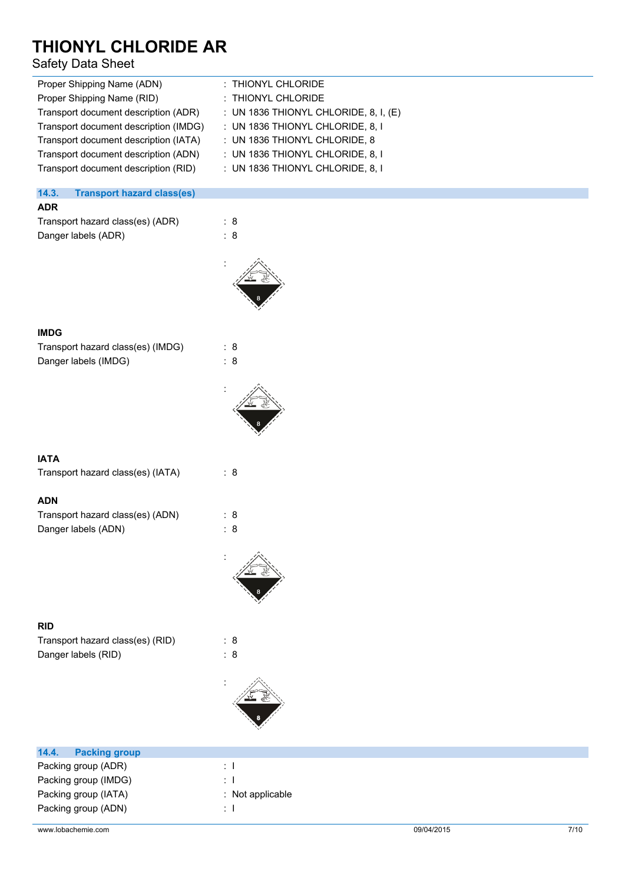## Safety Data Sheet

| Proper Shipping Name (ADN)            | : THIONYL CHLORIDE                      |
|---------------------------------------|-----------------------------------------|
| Proper Shipping Name (RID)            | : THIONYL CHLORIDE                      |
| Transport document description (ADR)  | : UN 1836 THIONYL CHLORIDE, 8, I, $(E)$ |
| Transport document description (IMDG) | : UN 1836 THIONYL CHLORIDE, 8, I        |
| Transport document description (IATA) | : UN 1836 THIONYL CHLORIDE, 8           |
| Transport document description (ADN)  | : UN 1836 THIONYL CHLORIDE, 8, I        |
| Transport document description (RID)  | : UN 1836 THIONYL CHLORIDE, 8, I        |
|                                       |                                         |
|                                       |                                         |

### **14.3. Transport hazard class(es)**

### **ADR**

Transport hazard class(es) (ADR) : 8 Danger labels (ADR) : 8



#### **IMDG**

| Transport hazard class(es) (IMDG) | : 8 |
|-----------------------------------|-----|
| Danger labels (IMDG)              | : 8 |



### **IATA**

Transport hazard class(es) (IATA) : 8

### **ADN**

| Transport hazard class(es) (ADN) | : 8 |
|----------------------------------|-----|
| Danger labels (ADN)              | : 8 |

## **RID**

Transport hazard class(es) (RID) : 8 Danger labels (RID) : 8







| 14.4.<br><b>Packing group</b> |                             |            |      |
|-------------------------------|-----------------------------|------------|------|
| Packing group (ADR)           | ÷.                          |            |      |
| Packing group (IMDG)          | ÷.                          |            |      |
| Packing group (IATA)          | $\therefore$ Not applicable |            |      |
| Packing group (ADN)           | ÷П                          |            |      |
|                               |                             |            |      |
| www.lobachemie.com            |                             | 09/04/2015 | 7/10 |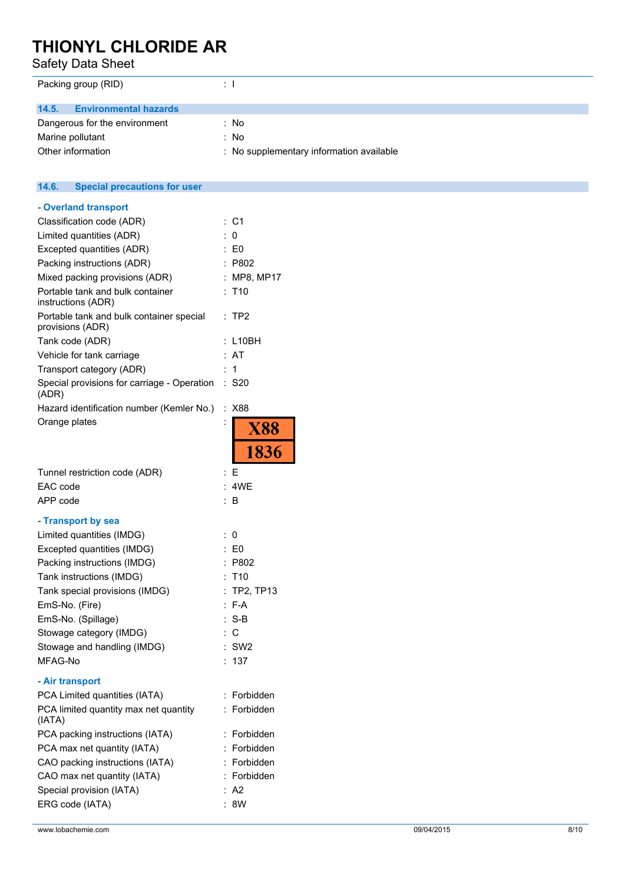Safety Data Sheet

| Packing group (RID)                   | ÷Т                                       |
|---------------------------------------|------------------------------------------|
| <b>Environmental hazards</b><br>14.5. |                                          |
| Dangerous for the environment         | : No                                     |
| Marine pollutant                      | : No                                     |
| Other information                     | : No supplementary information available |

### **14.6. Special precautions for user - Overland transport** Classification code (ADR) : C1 Limited quantities (ADR) : 0 Excepted quantities (ADR) : E0 Packing instructions (ADR) : P802 Mixed packing provisions (ADR) : MP8, MP17 Portable tank and bulk container : T10 instructions (ADR) Portable tank and bulk container special : TP2 provisions (ADR) Tank code (ADR) : L10BH Vehicle for tank carriage : AT Transport category (ADR) : 1 Special provisions for carriage - Operation : S20 (ADR) Hazard identification number (Kemler No.) : X88 Orange plates **X88** 1836 Tunnel restriction code (ADR) : E EAC code : 4WE APP code : B **- Transport by sea** Limited quantities (IMDG) : 0

| Excepted quantities (IMDG)     | $\mathsf{E}$ E0 |
|--------------------------------|-----------------|
| Packing instructions (IMDG)    | : P802          |
| Tank instructions (IMDG)       | $:$ T10         |
| Tank special provisions (IMDG) | $:$ TP2, TP13   |
| EmS-No. (Fire)                 | $: F-A$         |
| EmS-No. (Spillage)             | $:$ S-B         |
| Stowage category (IMDG)        | : C             |
| Stowage and handling (IMDG)    | $:$ SW2         |
| MFAG-No                        | : 137           |
| - Air transport                |                 |
| PCA Limited quantities (IATA)  | : Forbidden     |

| $\overline{1}$ CA Limited guarities (IATA)      | . . uuuutii |
|-------------------------------------------------|-------------|
| PCA limited quantity max net quantity<br>(IATA) | : Forbidden |
| PCA packing instructions (IATA)                 | : Forbidden |
| PCA max net quantity (IATA)                     | : Forbidden |
| CAO packing instructions (IATA)                 | : Forbidden |
| CAO max net quantity (IATA)                     | : Forbidden |
| Special provision (IATA)                        | : A2        |
| ERG code (IATA)                                 | : 8W        |
|                                                 |             |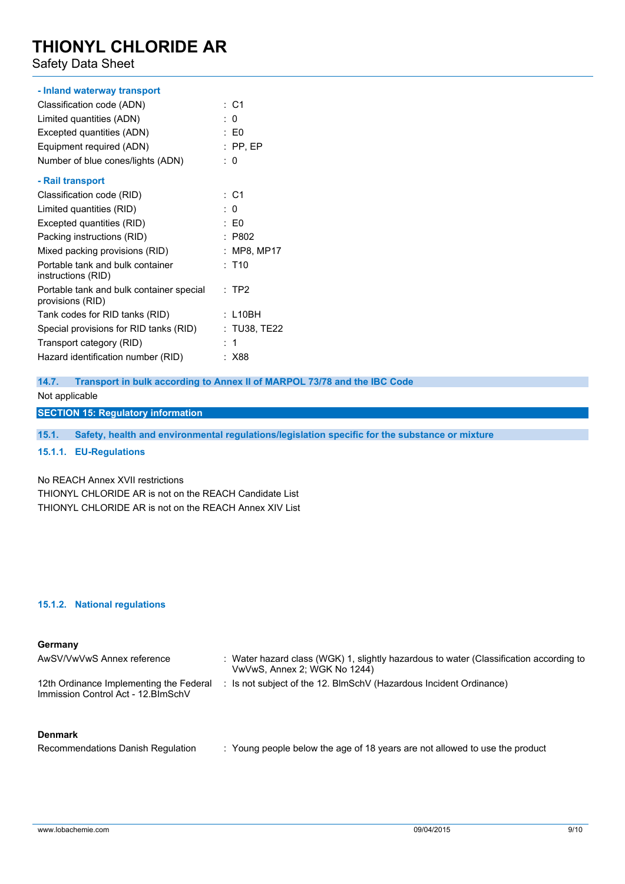Safety Data Sheet

# **- Inland waterway transport**

| Classification code (ADN)                                    | : C1            |
|--------------------------------------------------------------|-----------------|
| Limited quantities (ADN)                                     | : 0             |
| Excepted quantities (ADN)                                    | $\mathsf{E}$ E0 |
| Equipment required (ADN)                                     | $:$ PP, EP      |
| Number of blue cones/lights (ADN)                            | : 0             |
| - Rail transport                                             |                 |
| Classification code (RID)                                    | : C1            |
| Limited quantities (RID)                                     | : 0             |
| Excepted quantities (RID)                                    | : E0            |
| Packing instructions (RID)                                   | : P802          |
| Mixed packing provisions (RID)                               | : MP8, MP17     |
| Portable tank and bulk container<br>instructions (RID)       | : T10           |
| Portable tank and bulk container special<br>provisions (RID) | $:$ TP2         |
| Tank codes for RID tanks (RID)                               | : L10BH         |
| Special provisions for RID tanks (RID)                       | : TU38, TE22    |
| Transport category (RID)                                     | -1              |
| Hazard identification number (RID)                           | : X88           |

### **14.7. Transport in bulk according to Annex II of MARPOL 73/78 and the IBC Code**

Not applicable

### **SECTION 15: Regulatory information**

**15.1. Safety, health and environmental regulations/legislation specific for the substance or mixture**

#### **15.1.1. EU-Regulations**

### No REACH Annex XVII restrictions

THIONYL CHLORIDE AR is not on the REACH Candidate List THIONYL CHLORIDE AR is not on the REACH Annex XIV List

#### **15.1.2. National regulations**

#### **Germany**

| AwSV/VwVwS Annex reference                                                     | : Water hazard class (WGK) 1, slightly hazardous to water (Classification according to<br>VwVwS, Annex 2; WGK No 1244) |
|--------------------------------------------------------------------------------|------------------------------------------------------------------------------------------------------------------------|
| 12th Ordinance Implementing the Federal<br>Immission Control Act - 12. BlmSchV | : Is not subject of the 12. BlmSchV (Hazardous Incident Ordinance)                                                     |

#### **Denmark**

| Recommendations Danish Regulation | : Young people below the age of 18 years are not allowed to use the product |
|-----------------------------------|-----------------------------------------------------------------------------|
|-----------------------------------|-----------------------------------------------------------------------------|